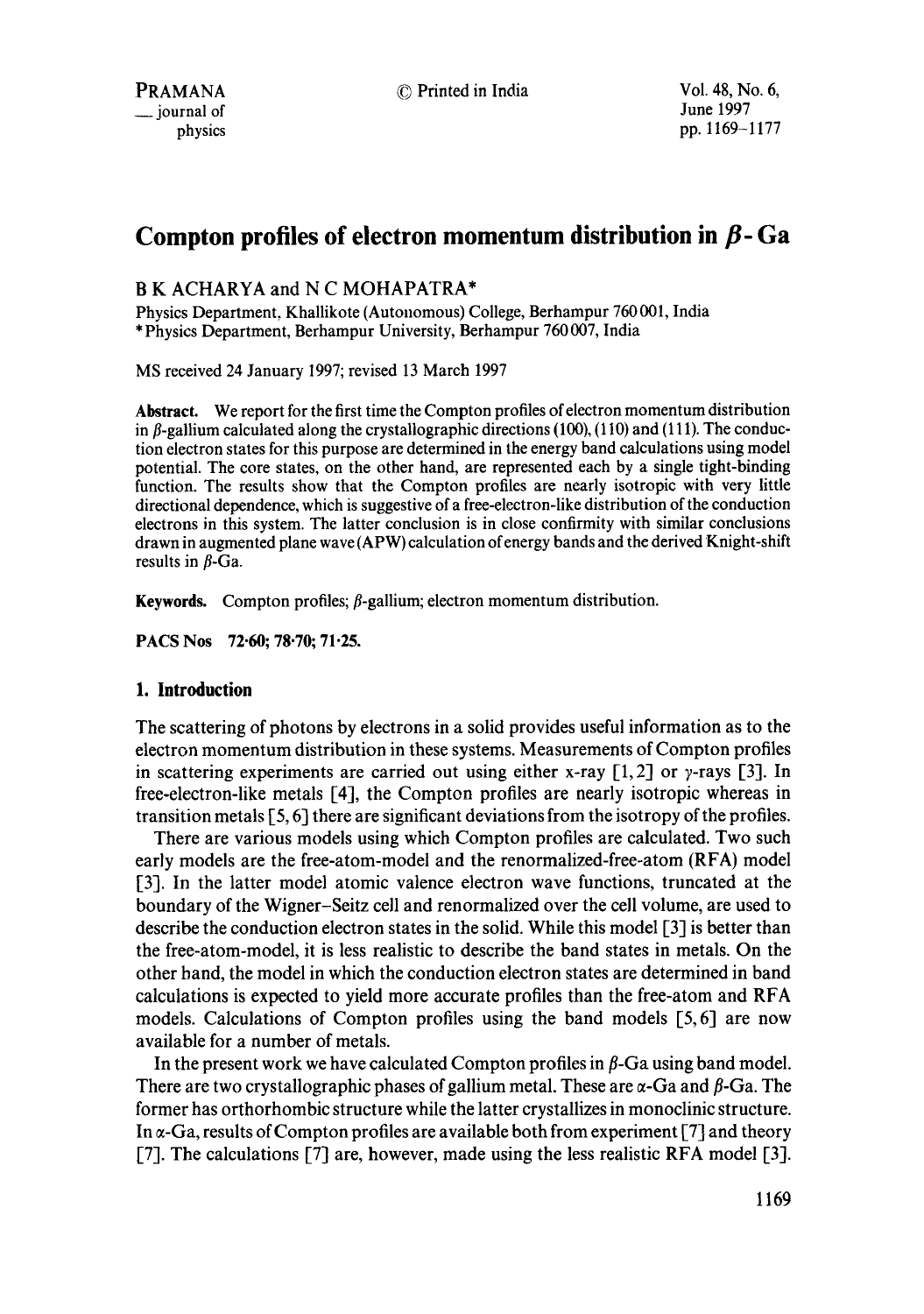# Compton profiles of electron momentum distribution in  $\beta$ - Ga

# B K ACHARYA and N C MOHAPATRA\*

Physics Department, Khallikote (Autonomous) College, Berhampur 760 001, India \* Physics Department, Berhampur University, Berhampur 760 007, India

MS received 24 January 1997; revised 13 March 1997

Abstract. We report for the first time the Compton profiles of electron momentum distribution in  $\beta$ -gallium calculated along the crystallographic directions (100), (110) and (111). The conduction electron states for this purpose are determined in the energy band calculations using model potential. The core states, on the other hand, are represented each by a single tight-binding function. The results show that the Compton profiles are nearly isotropic with very little directional dependence, which is suggestive of a free-electron-like distribution of the conduction electrons in this system. The latter conclusion is in close confirmity with similar conclusions drawn in augmented plane wave (APW) calculation of energy bands and the derived Knight-shift results in  $\beta$ -Ga.

**Keywords.** Compton profiles;  $\beta$ -gallium; electron momentum distribution.

PACS Nos 72.60; 78.70; 71.25.

## **1. Introduction**

The scattering of photons by electrons in a solid provides useful information as to the electron momentum distribution in these systems. Measurements of Compton profiles in scattering experiments are carried out using either x-ray [1, 2] or  $\gamma$ -rays [3]. In free-electron-like metals [4], the Compton profiles are nearly isotropic whereas in transition metals [5, 6] there are significant deviations from the isotropy of the profiles.

There are various models using which Compton profiles are calculated. Two such early models are the free-atom-model and the renormalized-free-atom (RFA) model [3]. In the latter model atomic valence electron wave functions, truncated at the boundary of the Wigner-Seitz cell and renormalized over the cell volume, are used to describe the conduction electron states in the solid. While this model [3] is better than the free-atom-model, it is less realistic to describe the band states in metals. On the other band, the model in which the conduction electron states are determined in band calculations is expected to yield more accurate profiles than the free-atom and RFA models. Calculations of Compton profiles using the band models [5, 6] are now available for a number of metals.

In the present work we have calculated Compton profiles in  $\beta$ -Ga using band model. There are two crystallographic phases of gallium metal. These are  $\alpha$ -Ga and  $\beta$ -Ga. The former has orthorhombic structure while the latter crystallizes in monoclinic structure. In  $\alpha$ -Ga, results of Compton profiles are available both from experiment [7] and theory [7]. The calculations [7] are, however, made using the less realistic RFA model [3].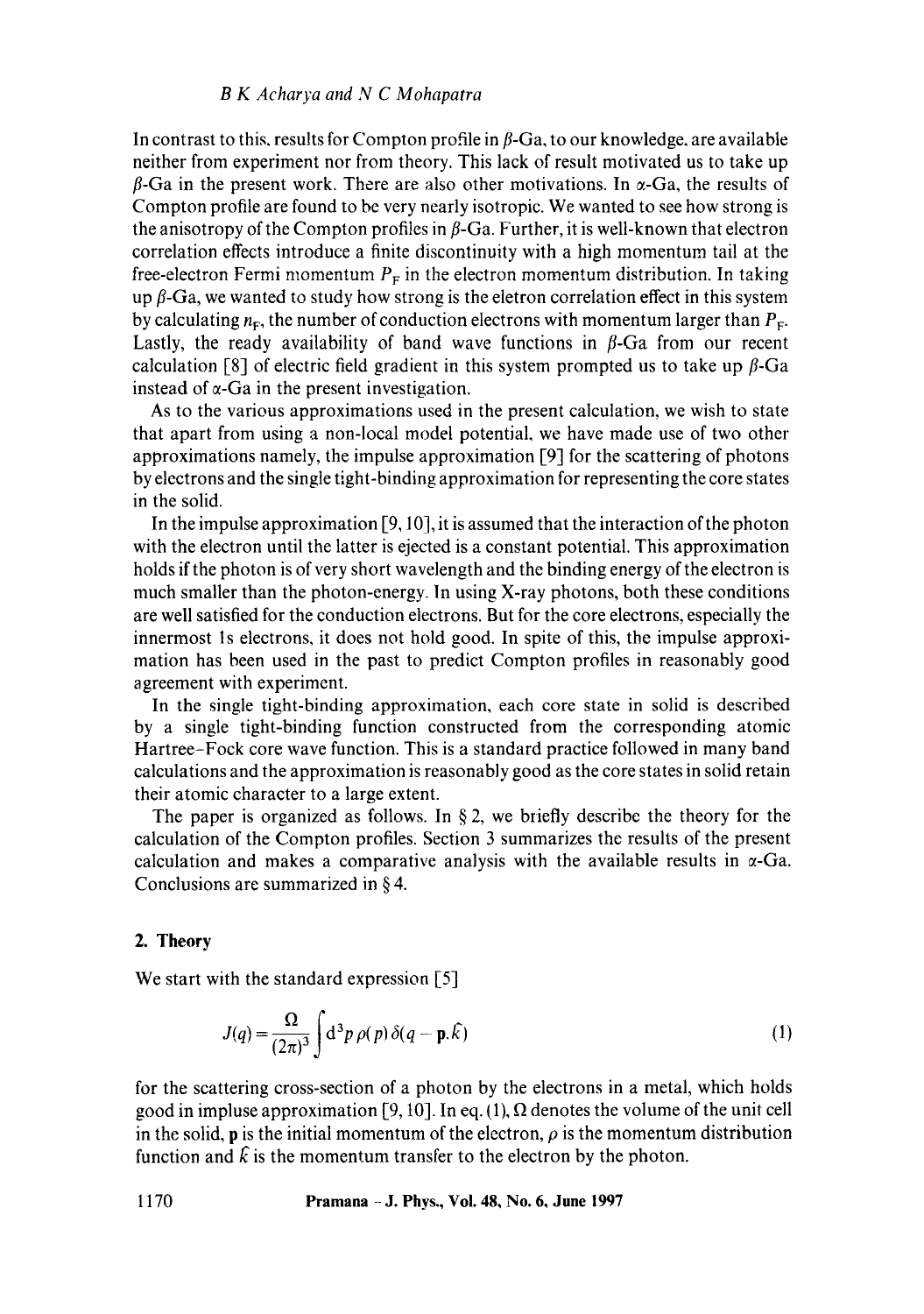#### *B K Acharya and N C Mohapatra*

In contrast to this, results for Compton profile in  $\beta$ -Ga, to our knowledge, are available neither from experiment nor from theory. This lack of result motivated us to take up  $\beta$ -Ga in the present work. There are also other motivations. In  $\alpha$ -Ga, the results of Compton profile are found to be very nearly isotropic. We wanted to see how strong is the anisotropy of the Compton profiles in  $\beta$ -Ga. Further, it is well-known that electron correlation effects introduce a finite discontinuity with a high momentum tail at the free-electron Fermi momentum  $P_F$  in the electron momentum distribution. In taking up  $\beta$ -Ga, we wanted to study how strong is the eletron correlation effect in this system by calculating  $n_F$ , the number of conduction electrons with momentum larger than  $P_F$ . Lastly, the ready availability of band wave functions in  $\beta$ -Ga from our recent calculation [8] of electric field gradient in this system prompted us to take up  $\beta$ -Ga instead of  $\alpha$ -Ga in the present investigation.

As to the various approximations used in the present calculation, we wish to state that apart from using a non-local model potential, we have made use of two other approximations namely, the impulse approximation [9] for the scattering of photons by electrons and the single tight-binding approximation for representing the core states in the solid.

In the impulse approximation [9, 10], it is assumed that the interaction of the photon with the electron until the latter is ejected is a constant potential. This approximation holds if the photon is of very short wavelength and the binding energy of the electron is much smaller than the photon-energy. In using X-ray photons, both these conditions are well satisfied for the conduction electrons. But for the core electrons, especially the innermost ls electrons, it does not hold good. In spite of this, the impulse approximation has been used in the past to predict Compton profiles in reasonably good agreement with experiment.

In the single tight-binding approximation, each core state in solid is described by a single tight-binding function constructed from the corresponding atomic Hartree-Fock core wave function. This is a standard practice followed in many band calculations and the approximation is reasonably good as the core states in solid retain their atomic character to a large extent.

The paper is organized as follows. In § 2, we briefly describe the theory for the calculation of the Compton profiles. Section 3 summarizes the results of the present calculation and makes a comparative analysis with the available results in  $\alpha$ -Ga. Conclusions are summarized in § 4.

#### 2. Theory

We start with the standard expression [5]

$$
J(q) = \frac{\Omega}{(2\pi)^3} \int d^3p \,\rho(p) \,\delta(q - \mathbf{p}, \hat{k})
$$
 (1)

for the scattering cross-section of a photon by the electrons in a metal, which holds good in impluse approximation [9, 10]. In eq. (1),  $\Omega$  denotes the volume of the unit cell in the solid, **p** is the initial momentum of the electron,  $\rho$  is the momentum distribution function and  $\hat{k}$  is the momentum transfer to the electron by the photon.

**1170 Pramana - J. Phys., Vol. 48, No. 6, June 1997**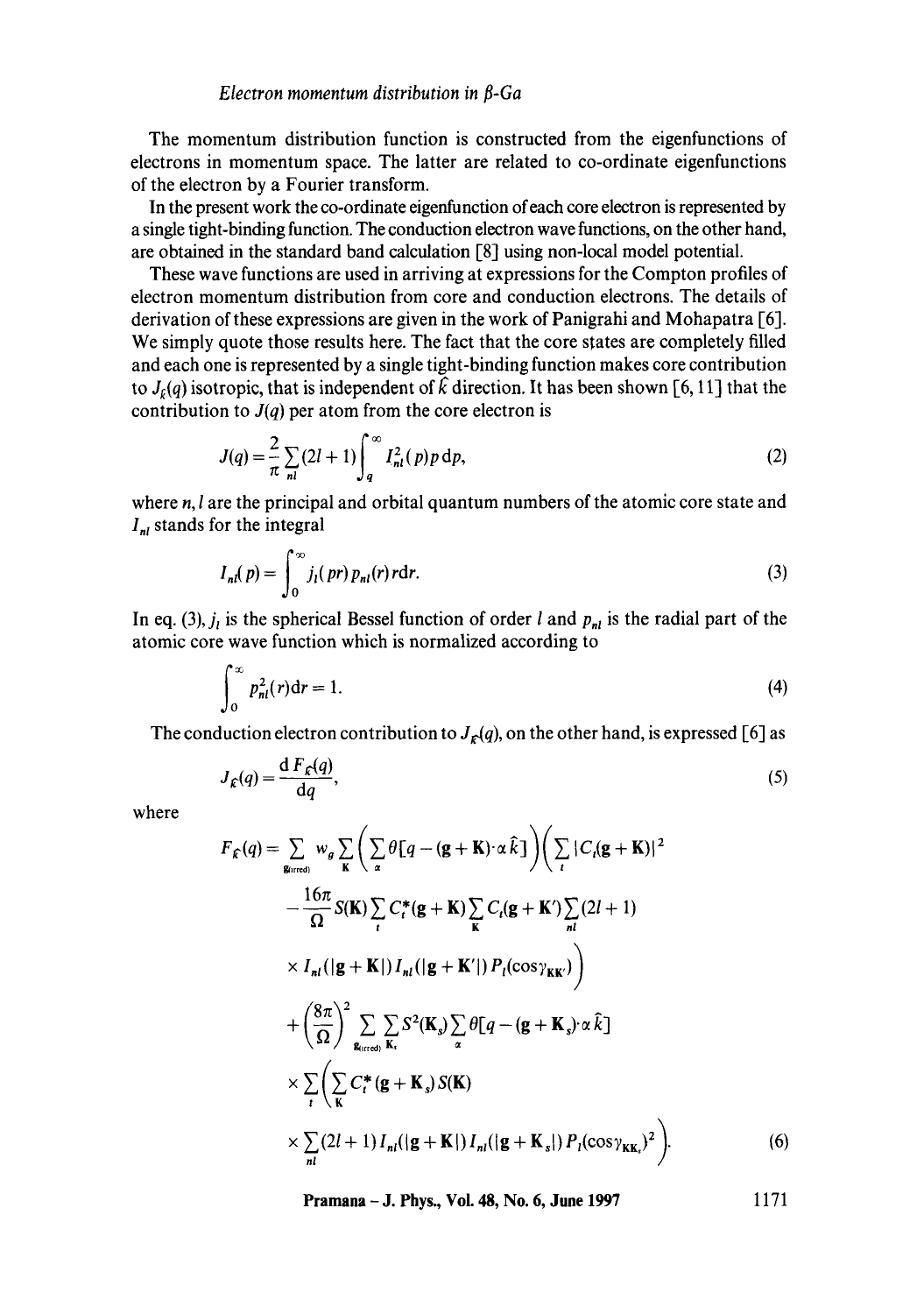The momentum distribution function is constructed from the eigenfunctions of electrons in momentum space. The latter are related to co-ordinate eigenfunctions of the electron by a Fourier transform.

In the present work the co-ordinate eigenfunction of each core electron is represented by a single tight-binding function. The conduction electron wave functions, on the other hand, are obtained in the standard band calculation [8] using non-local model potential.

These wave functions are used in arriving at expressions for the Compton profiles of electron momentum distribution from core and conduction electrons. The details of derivation of these expressions are given in the work of Panigrahi and Mohapatra [6]. We simply quote those results here. The fact that the core states are completely filled and each one is represented by a single tight-binding function makes core contribution to  $J_{\ell}(q)$  isotropic, that is independent of  $\ell$  direction. It has been shown [6, 11] that the contribution to  $J(q)$  per atom from the core electron is

$$
J(q) = \frac{2}{\pi} \sum_{nl} (2l+1) \int_{q}^{\infty} I_{nl}^{2}(p) p \, \mathrm{d}p,\tag{2}
$$

where  $n, l$  are the principal and orbital quantum numbers of the atomic core state and  $I_{nl}$  stands for the integral

$$
I_{nl}(p) = \int_0^\infty j_l(pr) p_{nl}(r) \, \mathrm{d}r. \tag{3}
$$

In eq. (3),  $j_l$  is the spherical Bessel function of order l and  $p_{nl}$  is the radial part of the atomic core wave function which is normalized according to

$$
\int_0^\infty p_{nl}^2(r) \mathrm{d}r = 1. \tag{4}
$$

The conduction electron contribution to  $J_{\mathcal{E}}(q)$ , on the other hand, is expressed [6] as

$$
J_{\mathcal{E}}(q) = \frac{\mathrm{d}\, F_{\mathcal{E}}(q)}{\mathrm{d}q},\tag{5}
$$

where

$$
F_{\mathcal{E}}(q) = \sum_{\mathbf{g}_{\text{unred}}} w_g \sum_{\mathbf{K}} \left( \sum_{\alpha} \theta \left[ q - (\mathbf{g} + \mathbf{K}) \cdot \alpha \hat{k} \right] \right) \left( \sum_{i} |C_i(\mathbf{g} + \mathbf{K})|^2 - \frac{16\pi}{\Omega} S(\mathbf{K}) \sum_{i} C_{i}^*(\mathbf{g} + \mathbf{K}) \sum_{\mathbf{K}} C_i(\mathbf{g} + \mathbf{K}') \sum_{nl} (2l + 1) \times I_{nl}(|\mathbf{g} + \mathbf{K}|) I_{nl}(|\mathbf{g} + \mathbf{K}'|) P_i(\cos \gamma_{\mathbf{KK}'}) \right) + \left( \frac{8\pi}{\Omega} \right)^2 \sum_{\mathbf{g}_{\text{unred}}} \sum_{\mathbf{K}_i} S^2(\mathbf{K}_s) \sum_{\alpha} \theta \left[ q - (\mathbf{g} + \mathbf{K}_s) \cdot \alpha \hat{k} \right] \times \sum_{i} \left( \sum_{\mathbf{K}} C_{i}^*(\mathbf{g} + \mathbf{K}_s) S(\mathbf{K}) \right) \times \sum_{nl} (2l + 1) I_{nl}(|\mathbf{g} + \mathbf{K}|) I_{nl}(|\mathbf{g} + \mathbf{K}_s|) P_i(\cos \gamma_{\mathbf{KK}_s})^2 \right).
$$
 (6)

**Pramana – J. Phys., Vol. 48, No. 6, June 1997** 1171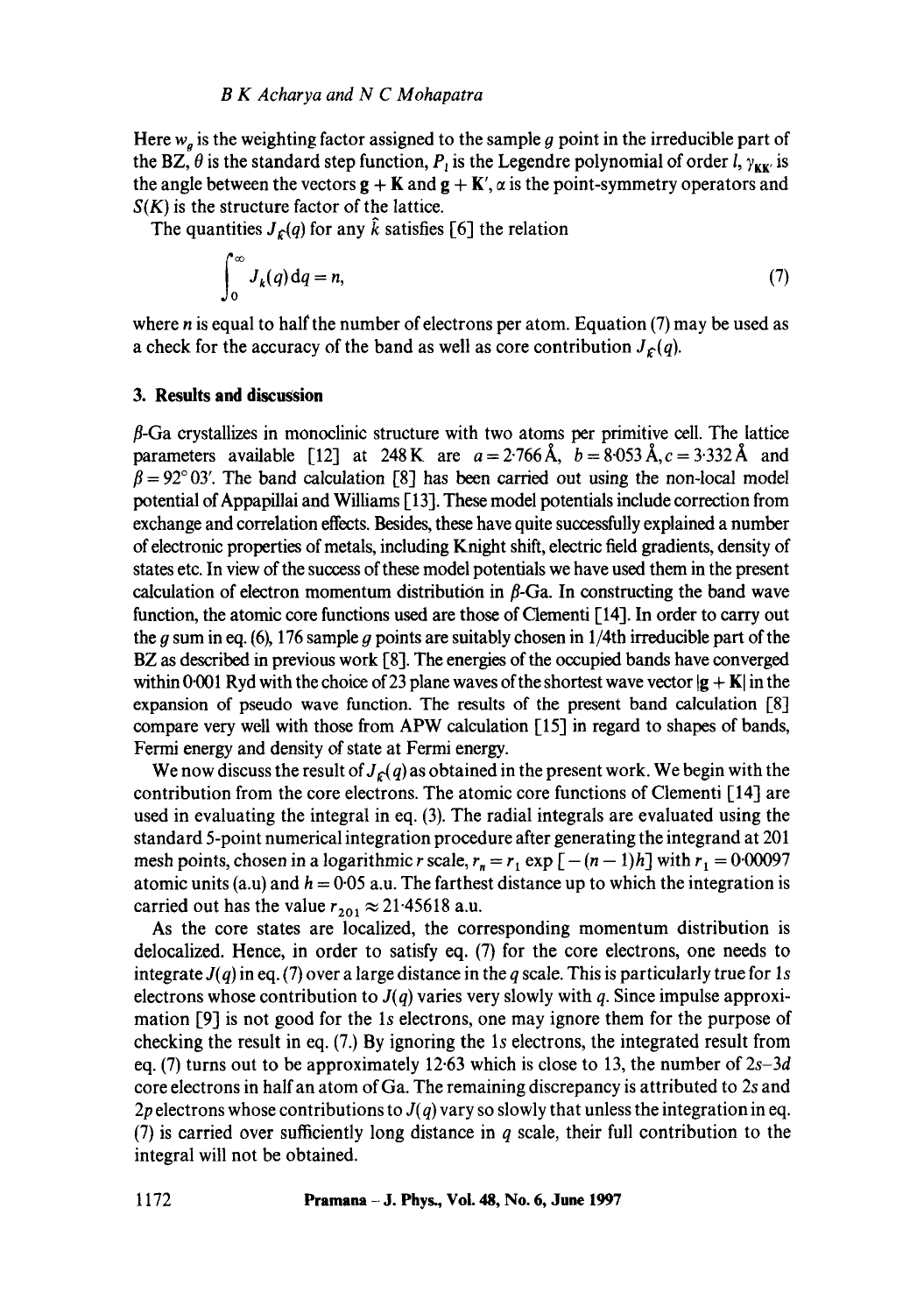Here  $w<sub>a</sub>$  is the weighting factor assigned to the sample g point in the irreducible part of the BZ,  $\theta$  is the standard step function,  $P_i$  is the Legendre polynomial of order l,  $\gamma_{\mathbf{k}\mathbf{k}'}$  is the angle between the vectors  $g + K$  and  $g + K'$ ,  $\alpha$  is the point-symmetry operators and *S(K)* is the structure factor of the lattice.

The quantities  $J_{\mathcal{E}}(q)$  for any  $\hat{k}$  satisfies [6] the relation

$$
\int_0^\infty J_k(q) \, dq = n,\tag{7}
$$

where *n* is equal to half the number of electrons per atom. Equation  $(7)$  may be used as a check for the accuracy of the band as well as core contribution  $J_{\mathcal{E}}(q)$ .

#### **3. Results and discussion**

 $\beta$ -Ga crystallizes in monoclinic structure with two atoms per primitive cell. The lattice parameters available [12] at 248 K are  $a = 2.766 \text{ Å}$ ,  $b = 8.053 \text{ Å}$ ,  $c = 3.332 \text{ Å}$  and  $\beta = 92^{\circ}$  03'. The band calculation [8] has been carried out using the non-local model potential of Appapillai and Williams [ 13]. These model potentials include correction from exchange and correlation effects. Besides, these have quite successfully explained a number of electronic properties of metals, including Knight shift, electric field gradients, density of states etc. In view of the success of these model potentials we have used them in the present calculation of electron momentum distribution in  $\beta$ -Ga. In constructing the band wave function, the atomic core functions used are those of Clementi [14]. In order to carry out the g sum in eq. (6), 176 sample g points are suitably chosen in  $1/4$ th irreducible part of the BZ as described in previous work [8]. The energies of the occupied bands have converged within 0 $\cdot$ 001 Ryd with the choice of 23 plane waves of the shortest wave vector  $|g + K|$  in the expansion of pseudo wave function. The results of the present band calculation [8] compare very well with those from APW calculation [15] in regard to shapes of bands, Fermi energy and density of state at Fermi energy.

We now discuss the result of  $J_k(q)$  as obtained in the present work. We begin with the contribution from the core electrons. The atomic core functions of Clementi [14] are used in evaluating the integral in eq. (3). The radial integrals are evaluated using the standard 5-point numerical integration procedure after generating the integrand at 201 mesh points, chosen in a logarithmic r scale,  $r_n = r_1 \exp[-(n-1)h]$  with  $r_1 = 0.00097$ atomic units (a.u) and  $h = 0.05$  a.u. The farthest distance up to which the integration is carried out has the value  $r_{201} \approx 21.45618$  a.u.

As the core states are localized, the corresponding momentum distribution is delocalized. Hence, in order to satisfy eq. (7) for the core electrons, one needs to integrate  $J(q)$  in eq. (7) over a large distance in the q scale. This is particularly true for 1s electrons whose contribution to *J(q)* varies very slowly with q. Since impulse approximation [9] is not good for the ls electrons, one may ignore them for the purpose of checking the result in eq. (7.) By ignoring the ls electrons, the integrated result from eq. (7) turns out to be approximately 12.63 which is close to 13, the number of *2s-3d*  core electrons in half an atom of Ga. The remaining discrepancy is attributed to 2s and 2p electrons whose contributions to  $J(q)$  vary so slowly that unless the integration in eq. (7) is carried over sufficiently long distance in  $q$  scale, their full contribution to the integral will not be obtained.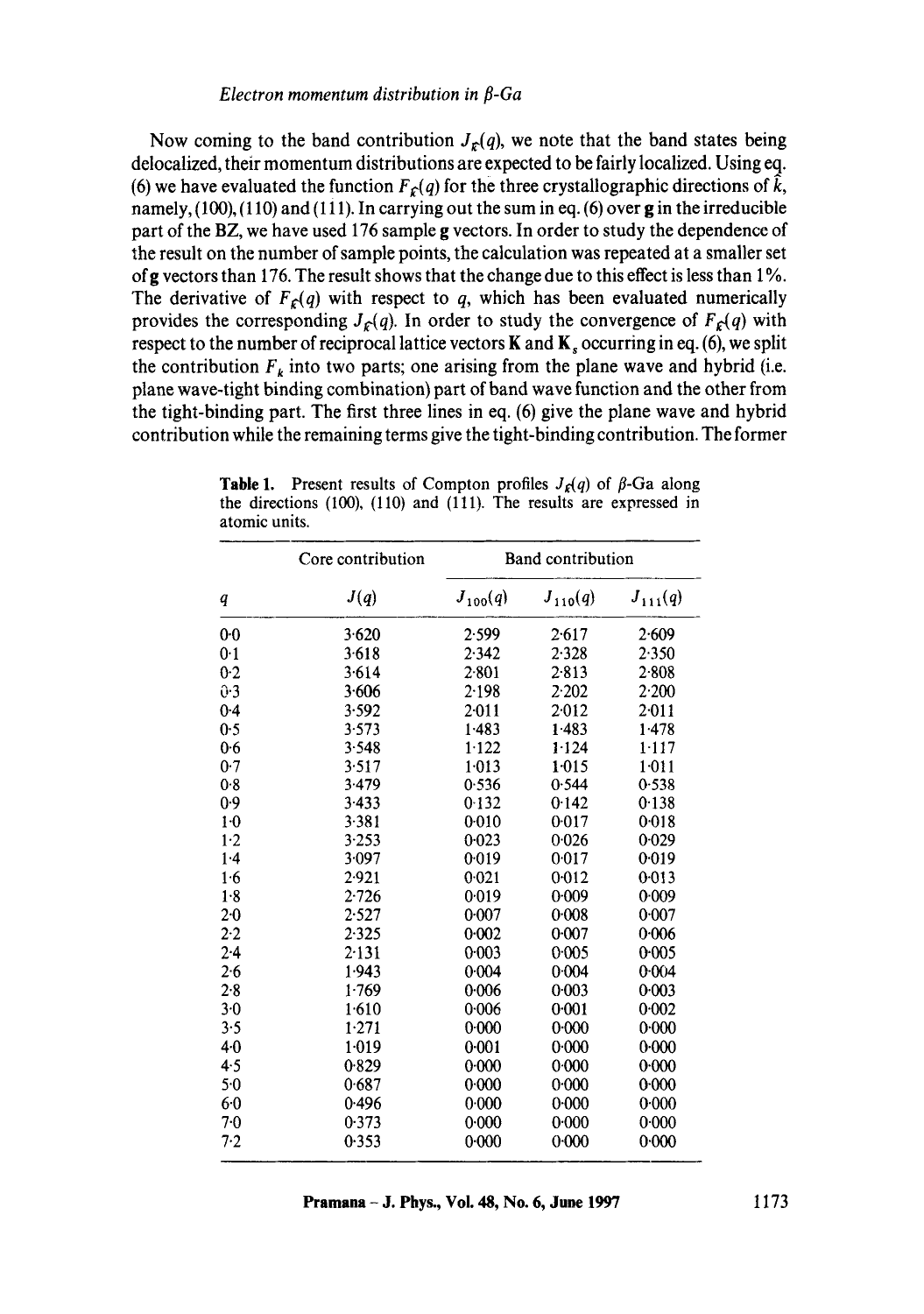Now coming to the band contribution  $J_{\mathcal{E}}(q)$ , we note that the band states being delocalized, their momentum distributions are expected to be fairly localized. Using eq. (6) we have evaluated the function  $F_{\epsilon}(q)$  for the three crystallographic directions of k, namely,  $(100)$ ,  $(110)$  and  $(111)$ . In carrying out the sum in eq.  $(6)$  over g in the irreducible part of the BZ, we have used 176 sample g vectors. In order to study the dependence of the result on the number of sample points, the calculation was repeated at a smaller set of g vectors than 176. The result shows that the change due to this effect is less than  $1\%$ . The derivative of  $F_{\epsilon}(q)$  with respect to q, which has been evaluated numerically provides the corresponding  $J_{\mathcal{E}}(q)$ . In order to study the convergence of  $F_{\mathcal{E}}(q)$  with respect to the number of reciprocal lattice vectors  $K$  and  $K_s$  occurring in eq. (6), we split the contribution  $F_k$  into two parts; one arising from the plane wave and hybrid (i.e. plane wave-tight binding combination) part of band wave function and the other from the tight-binding part. The first three lines in eq. (6) give the plane wave and hybrid contribution while the remaining terms give the tight-binding contribution. The former

|                  | Core contribution | <b>Band contribution</b> |              |              |
|------------------|-------------------|--------------------------|--------------|--------------|
| $\boldsymbol{q}$ | J(q)              | $J_{100}(q)$             | $J_{110}(q)$ | $J_{111}(q)$ |
| $0-0$            | 3.620             | 2.599                    | 2.617        | 2.609        |
| 0.1              | 3.618             | 2.342                    | 2.328        | 2.350        |
| 0.2              | 3.614             | 2.801                    | 2.813        | 2.808        |
| 0.3              | 3.606             | 2.198                    | 2.202        | 2.200        |
| 0.4              | 3.592             | $2 - 011$                | 2.012        | 2.011        |
| 0.5              | 3.573             | 1.483                    | 1.483        | 1.478        |
| 0.6              | 3.548             | 1.122                    | 1.124        | $1-117$      |
| 0.7              | 3.517             | 1.013                    | 1:015        | 1.011        |
| 0.8              | 3.479             | 0.536                    | 0.544        | 0.538        |
| 0.9              | 3.433             | 0.132                    | 0.142        | 0.138        |
| $1-0$            | 3.381             | 0.010                    | 0.017        | 0.018        |
| $1-2$            | 3.253             | 0.023                    | 0.026        | 0.029        |
| $1-4$            | 3.097             | 0.019                    | 0.017        | 0.019        |
| 1.6              | 2.921             | 0.021                    | 0.012        | 0:013        |
| 1.8              | $2 - 726$         | 0.019                    | 0.009        | 0.009        |
| $2-0$            | 2.527             | 0.007                    | 0.008        | 0.007        |
| 2.2              | 2.325             | 0.002                    | 0:007        | 0:006        |
| $2 - 4$          | 2.131             | 0.003                    | 0.005        | 0.005        |
| $2-6$            | 1.943             | 0.004                    | 0.004        | 0.004        |
| 2.8              | 1.769             | 0.006                    | 0.003        | 0.003        |
| 3.0              | 1.610             | 0.006                    | 0:001        | $0 - 002$    |
| 3.5              | 1.271             | 0.000                    | 0.000        | 0.000        |
| 4·0              | 1.019             | 0:001                    | 0.000        | 0.000        |
| 4.5              | 0.829             | 0.000                    | 0.000        | 0.000        |
| 5.0              | 0.687             | 0.000                    | 0.000        | 0.000        |
| 6.0              | 0.496             | 0.000                    | 0.000        | 0.000        |
| 7.0              | 0.373             | 0.000                    | 0.000        | 0.000        |
| 7.2              | 0.353             | 0.000                    | 0.000        | 0.000        |

**Table 1.** Present results of Compton profiles  $J_g(q)$  of  $\beta$ -Ga along the directions (100), (110) and (111). The results are expressed in atomic units.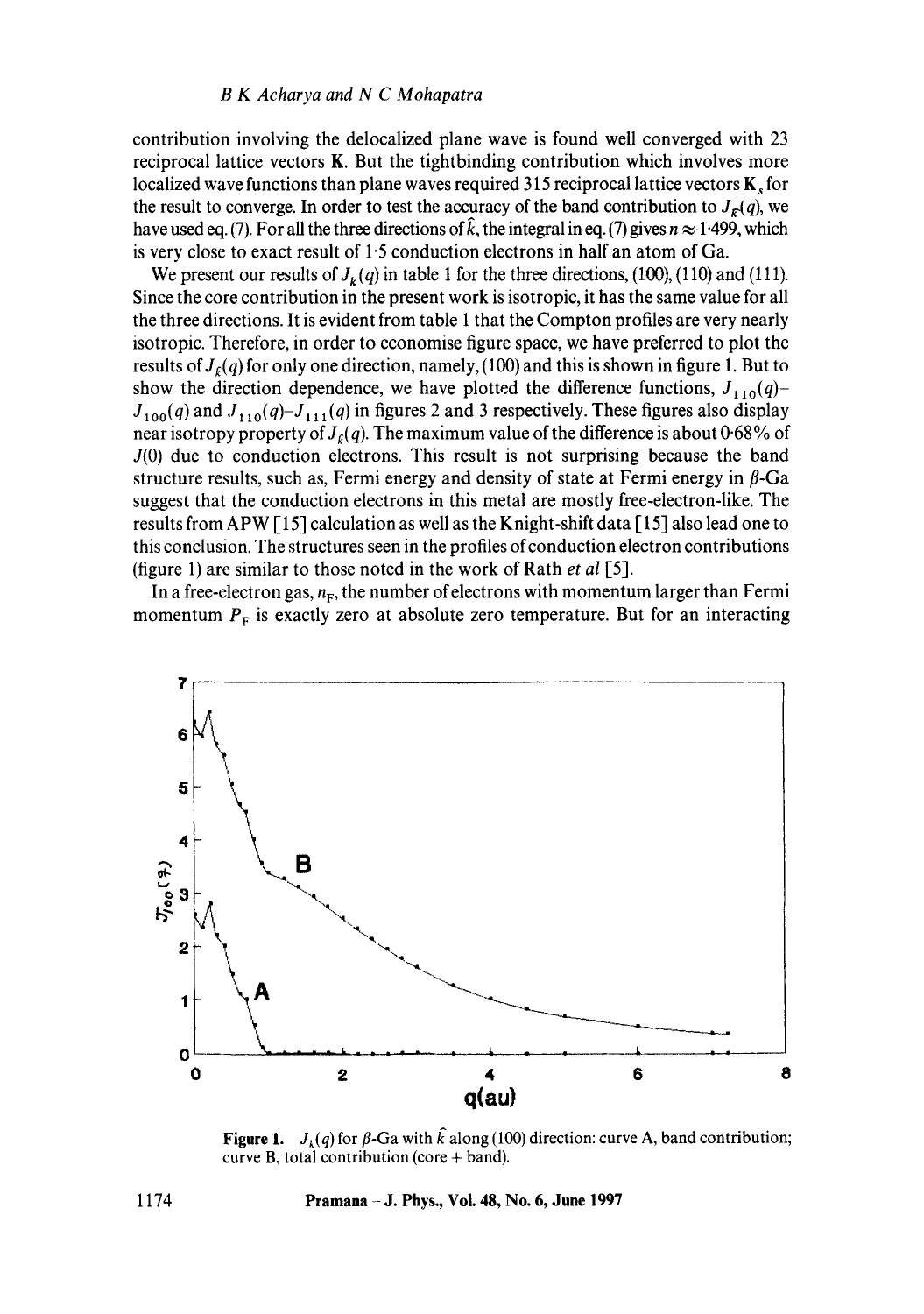#### *B K Acharya and N C Mohapatra*

contribution involving the delocalized plane wave is found well converged with 23 reciprocal lattice vectors K. But the tightbinding contribution which involves more localized wave functions than plane waves required 315 reciprocal lattice vectors  $\mathbf{K}_s$  for the result to converge. In order to test the accuracy of the band contribution to  $J_r(q)$ , we have used eq. (7). For all the three directions of  $\hat{k}$ , the integral in eq. (7) gives  $n \approx 1.499$ , which is very close to exact result of  $1.5$  conduction electrons in half an atom of Ga.

We present our results of  $J_k(q)$  in table 1 for the three directions, (100), (110) and (111). Since the core contribution in the present work is isotropic, it has the same value for all the three directions. It is evident from table 1 that the Compton profiles are very nearly isotropic. Therefore, in order to economise figure space, we have preferred to plot the results of  $J_{\ell}(q)$  for only one direction, namely, (100) and this is shown in figure 1. But to show the direction dependence, we have plotted the difference functions,  $J_{110}(q)$ - $J_{100}(q)$  and  $J_{110}(q)$ - $J_{111}(q)$  in figures 2 and 3 respectively. These figures also display near isotropy property of  $J_c(q)$ . The maximum value of the difference is about 0-68% of  $J(0)$  due to conduction electrons. This result is not surprising because the band structure results, such as, Fermi energy and density of state at Fermi energy in  $\beta$ -Ga suggest that the conduction electrons in this metal are mostly free-electron-like. The results from APW [15] calculation as well as the Knight-shift data [15] also lead one to this conclusion. The structures seen in the profiles of conduction electron contributions (figure 1) are similar to those noted in the work of Rath *et al* [5].

In a free-electron gas,  $n_F$ , the number of electrons with momentum larger than Fermi momentum  $P_F$  is exactly zero at absolute zero temperature. But for an interacting



**Figure 1.** *J<sub>k</sub>(q)* for  $\beta$ -Ga with  $\hat{k}$  along (100) direction: curve A, band contribution; curve B, total contribution (core + band).

#### **1174 Pramana -J. Phys., Voi. 48, No. 6, June 1997**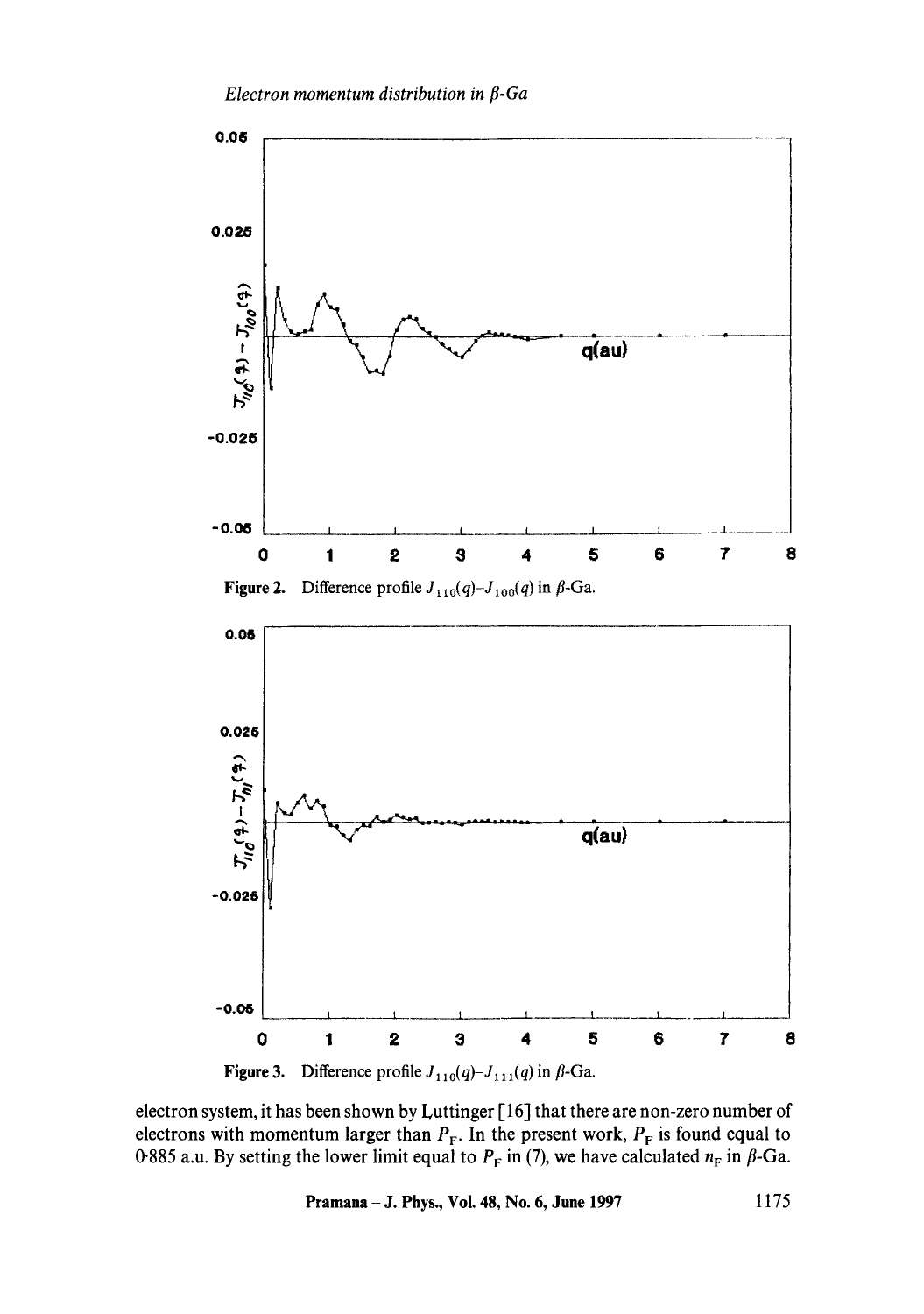

**Figure 3.** Difference profile  $J_{110}(q)-J_{111}(q)$  in  $\beta$ -Ga.

electron system, it has been shown by Luttinger [ 16] that there are non-zero number of electrons with momentum larger than  $P_F$ . In the present work,  $P_F$  is found equal to 0.885 a.u. By setting the lower limit equal to  $P_F$  in (7), we have calculated  $n_F$  in  $\beta$ -Ga.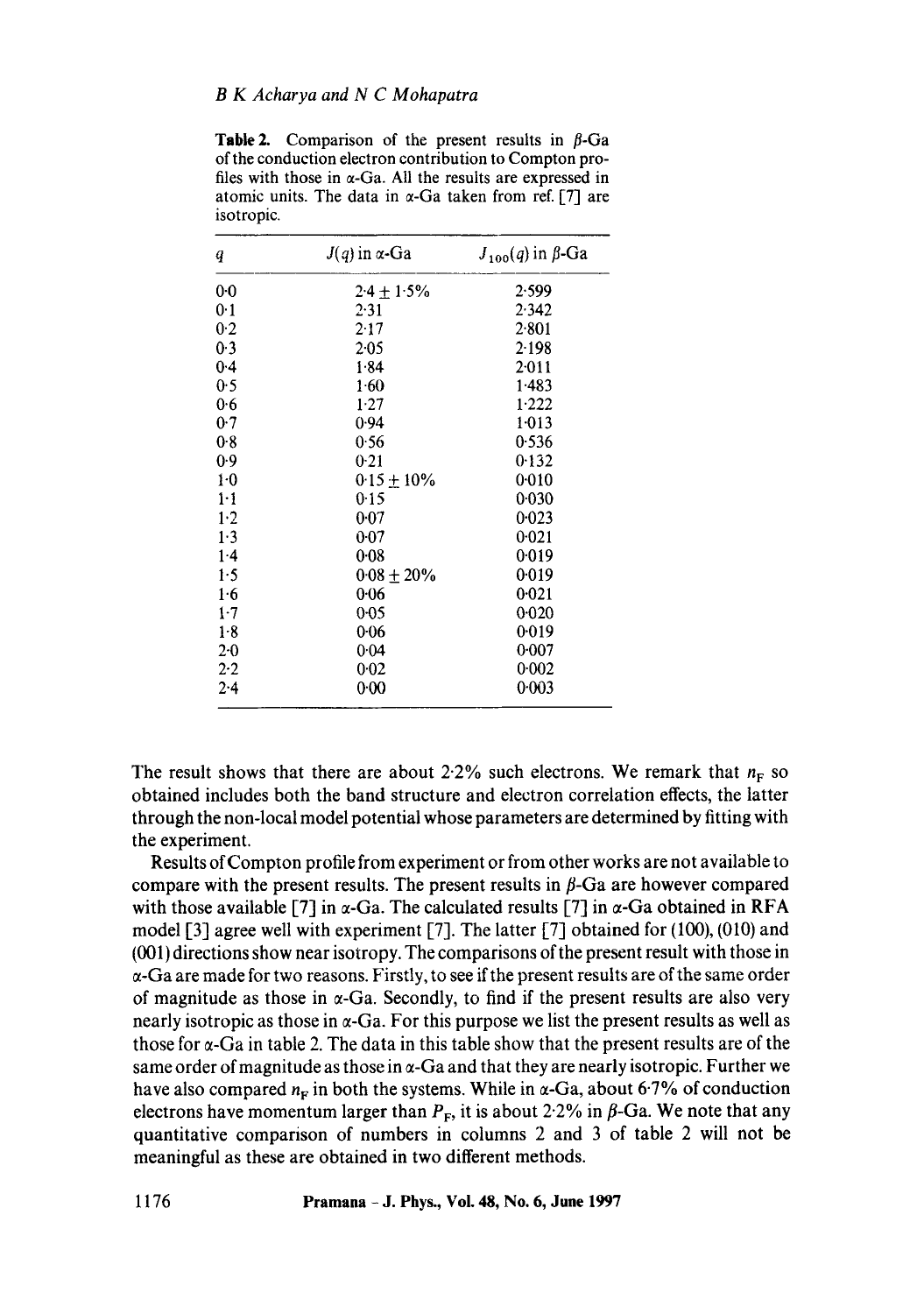|                                                                    | <b>Table 2.</b> Comparison of the present results in $\beta$ -Ga |  |  |  |  |
|--------------------------------------------------------------------|------------------------------------------------------------------|--|--|--|--|
| of the conduction electron contribution to Compton pro-            |                                                                  |  |  |  |  |
| files with those in $\alpha$ -Ga. All the results are expressed in |                                                                  |  |  |  |  |
|                                                                    | atomic units. The data in $\alpha$ -Ga taken from ref. [7] are   |  |  |  |  |
| isotropic.                                                         |                                                                  |  |  |  |  |

| q       | $J(q)$ in $\alpha$ -Ga | $J_{100}(q)$ in $\beta$ -Ga |
|---------|------------------------|-----------------------------|
| 00      | $2.4 \pm 1.5\%$        | 2.599                       |
| 0.1     | 2.31                   | 2.342                       |
| 0.2     | 2.17                   | 2.801                       |
| 0.3     | 2.05                   | 2.198                       |
| 0.4     | 1.84                   | $2 - 011$                   |
| 0.5     | $1-60$                 | 1.483                       |
| 0.6     | 1.27                   | 1.222                       |
| 0.7     | 0.94                   | 1.013                       |
| 0.8     | 0.56                   | 0.536                       |
| 0.9     | 0.21                   | 0.132                       |
| 1.0     | $0.15 + 10\%$          | 0:010                       |
| $1-1$   | 0.15                   | 0.030                       |
| $1-2$   | 0.07                   | 0.023                       |
| 1.3     | 0.07                   | 0.021                       |
| 1.4     | 0.08                   | 0.019                       |
| 1.5     | $0.08 \pm 20\%$        | 0.019                       |
| 1.6     | 0.06                   | 0.021                       |
| $1-7$   | $0 - 0.5$              | 0.020                       |
| 1.8     | 0.06                   | 0.019                       |
| $2 - 0$ | 0.04                   | 0.007                       |
| 2.2     | 0.02                   | 0.002                       |
| 2.4     | 0.00                   | 0.003                       |

The result shows that there are about 2.2% such electrons. We remark that  $n_F$  so obtained includes both the band structure and electron correlation effects, the latter through the non-local model potential whose parameters are determined by fitting with the experiment.

Results of Compton profile from experiment or from other works are not available to compare with the present results. The present results in  $\beta$ -Ga are however compared with those available [7] in  $\alpha$ -Ga. The calculated results [7] in  $\alpha$ -Ga obtained in RFA model [3] agree well with experiment [7]. The latter [7] obtained for (100), (010) and (001) directions show near isotropy. The comparisons of the present result with those in  $\alpha$ -Ga are made for two reasons. Firstly, to see if the present results are of the same order of magnitude as those in  $\alpha$ -Ga. Secondly, to find if the present results are also very nearly isotropic as those in  $\alpha$ -Ga. For this purpose we list the present results as well as those for  $\alpha$ -Ga in table 2. The data in this table show that the present results are of the same order of magnitude as those in  $\alpha$ -Ga and that they are nearly isotropic. Further we have also compared  $n_F$  in both the systems. While in  $\alpha$ -Ga, about 6.7% of conduction electrons have momentum larger than  $P_F$ , it is about 2.2% in  $\beta$ -Ga. We note that any quantitative comparison of numbers in columns 2 and 3 of table 2 will not be meaningful as these are obtained in two different methods.